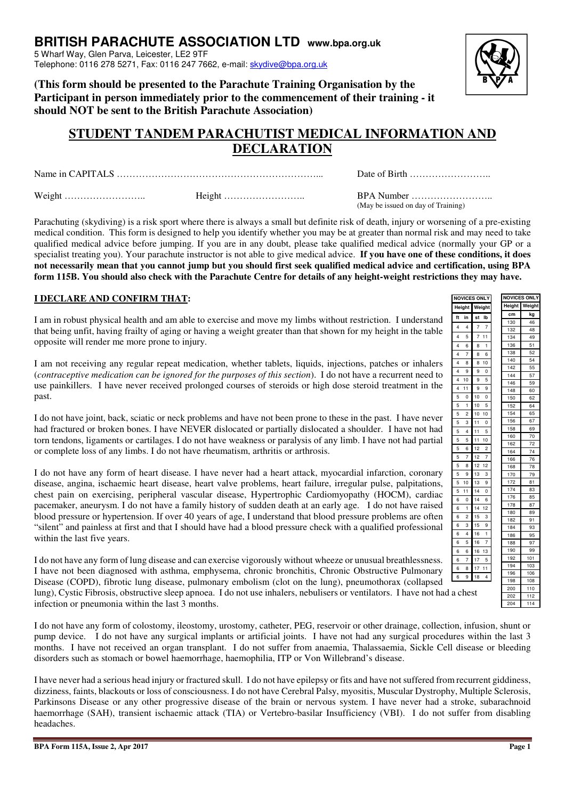114

## **BRITISH PARACHUTE ASSOCIATION LTD www.bpa.org.uk**

5 Wharf Way, Glen Parva, Leicester, LE2 9TF Telephone: 0116 278 5271, Fax: 0116 247 7662, e-mail: skydive@bpa.org.uk

**(This form should be presented to the Parachute Training Organisation by the Participant in person immediately prior to the commencement of their training - it should NOT be sent to the British Parachute Association)** 

## **STUDENT TANDEM PARACHUTIST MEDICAL INFORMATION AND DECLARATION**

Name in CAPITALS ………………………………………………………... Date of Birth ……………………..

Weight …………………….. Height …………………….. BPA Number …………………….. (May be issued on day of Training)

Parachuting (skydiving) is a risk sport where there is always a small but definite risk of death, injury or worsening of a pre-existing medical condition. This form is designed to help you identify whether you may be at greater than normal risk and may need to take qualified medical advice before jumping. If you are in any doubt, please take qualified medical advice (normally your GP or a specialist treating you). Your parachute instructor is not able to give medical advice. **If you have one of these conditions, it does not necessarily mean that you cannot jump but you should first seek qualified medical advice and certification, using BPA form 115B. You should also check with the Parachute Centre for details of any height-weight restrictions they may have.**

## **I DECLARE AND CONFIRM THAT:**

I am in robust physical health and am able to exercise and move my limbs without restriction. I understand that being unfit, having frailty of aging or having a weight greater than that shown for my height in the table opposite will render me more prone to injury.

I am not receiving any regular repeat medication, whether tablets, liquids, injections, patches or inhalers (*contraceptive medication can be ignored for the purposes of this section*). I do not have a recurrent need to use painkillers. I have never received prolonged courses of steroids or high dose steroid treatment in the past.

I do not have joint, back, sciatic or neck problems and have not been prone to these in the past. I have never had fractured or broken bones. I have NEVER dislocated or partially dislocated a shoulder. I have not had torn tendons, ligaments or cartilages. I do not have weakness or paralysis of any limb. I have not had partial or complete loss of any limbs. I do not have rheumatism, arthritis or arthrosis.

I do not have any form of heart disease. I have never had a heart attack, myocardial infarction, coronary disease, angina, ischaemic heart disease, heart valve problems, heart failure, irregular pulse, palpitations, chest pain on exercising, peripheral vascular disease, Hypertrophic Cardiomyopathy (HOCM), cardiac pacemaker, aneurysm. I do not have a family history of sudden death at an early age. I do not have raised blood pressure or hypertension. If over 40 years of age, I understand that blood pressure problems are often "silent" and painless at first and that I should have had a blood pressure check with a qualified professional within the last five years.

I do not have any form of lung disease and can exercise vigorously without wheeze or unusual breathlessness. I have not been diagnosed with asthma, emphysema, chronic bronchitis, Chronic Obstructive Pulmonary Disease (COPD), fibrotic lung disease, pulmonary embolism (clot on the lung), pneumothorax (collapsed lung), Cystic Fibrosis, obstructive sleep apnoea. I do not use inhalers, nebulisers or ventilators. I have not had a chest infection or pneumonia within the last 3 months.

I do not have any form of colostomy, ileostomy, urostomy, catheter, PEG, reservoir or other drainage, collection, infusion, shunt or pump device. I do not have any surgical implants or artificial joints. I have not had any surgical procedures within the last 3 months. I have not received an organ transplant. I do not suffer from anaemia, Thalassaemia, Sickle Cell disease or bleeding disorders such as stomach or bowel haemorrhage, haemophilia, ITP or Von Willebrand's disease.

I have never had a serious head injury or fractured skull. I do not have epilepsy or fits and have not suffered from recurrent giddiness, dizziness, faints, blackouts or loss of consciousness. I do not have Cerebral Palsy, myositis, Muscular Dystrophy, Multiple Sclerosis, Parkinsons Disease or any other progressive disease of the brain or nervous system. I have never had a stroke, subarachnoid haemorrhage (SAH), transient ischaemic attack (TIA) or Vertebro-basilar Insufficiency (VBI). I do not suffer from disabling headaches.